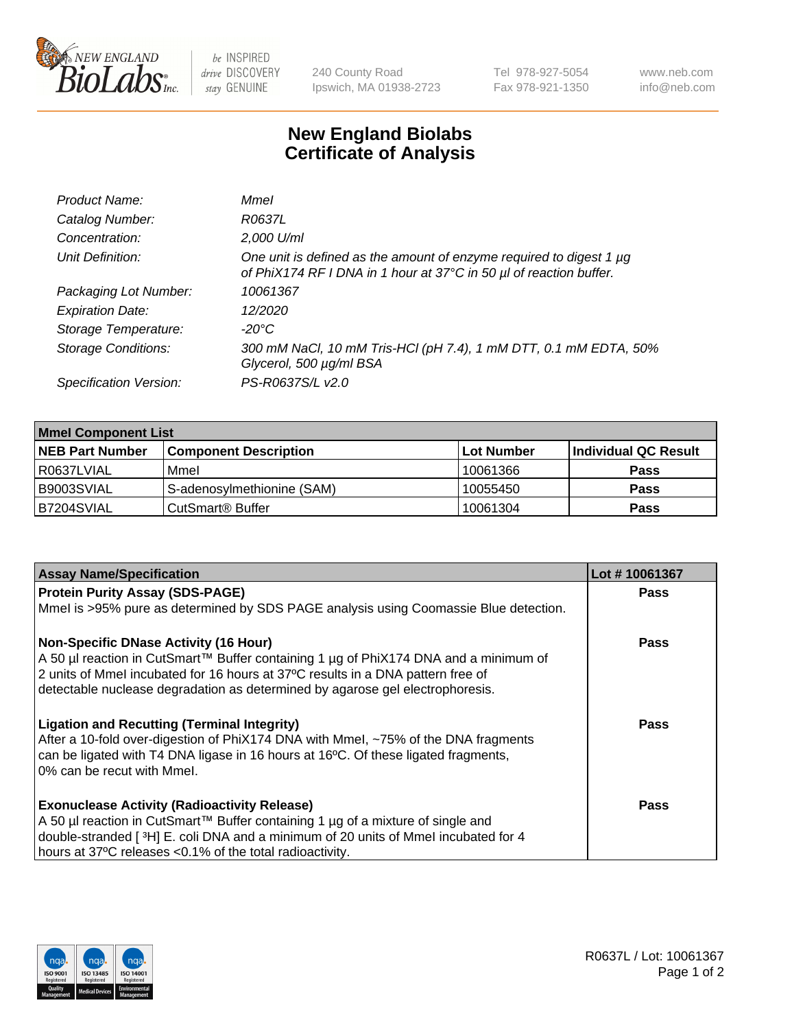

be INSPIRED drive DISCOVERY stay GENUINE

240 County Road Ipswich, MA 01938-2723 Tel 978-927-5054 Fax 978-921-1350

www.neb.com info@neb.com

## **New England Biolabs Certificate of Analysis**

| Mmel                                                                                                                                           |
|------------------------------------------------------------------------------------------------------------------------------------------------|
| R0637L                                                                                                                                         |
| 2,000 U/ml                                                                                                                                     |
| One unit is defined as the amount of enzyme required to digest 1 $\mu$ g<br>of PhiX174 RF I DNA in 1 hour at 37°C in 50 µl of reaction buffer. |
| 10061367                                                                                                                                       |
| 12/2020                                                                                                                                        |
| $-20^{\circ}$ C                                                                                                                                |
| 300 mM NaCl, 10 mM Tris-HCl (pH 7.4), 1 mM DTT, 0.1 mM EDTA, 50%<br>Glycerol, 500 µg/ml BSA                                                    |
| PS-R0637S/L v2.0                                                                                                                               |
|                                                                                                                                                |

| <b>Mmel Component List</b> |                              |            |                      |  |
|----------------------------|------------------------------|------------|----------------------|--|
| <b>NEB Part Number</b>     | <b>Component Description</b> | Lot Number | Individual QC Result |  |
| R0637LVIAL                 | Mmel                         | 10061366   | <b>Pass</b>          |  |
| B9003SVIAL                 | S-adenosylmethionine (SAM)   | 10055450   | <b>Pass</b>          |  |
| B7204SVIAL                 | CutSmart <sup>®</sup> Buffer | 10061304   | <b>Pass</b>          |  |

| <b>Assay Name/Specification</b>                                                                                                                                                                                                                                                                          | Lot #10061367 |
|----------------------------------------------------------------------------------------------------------------------------------------------------------------------------------------------------------------------------------------------------------------------------------------------------------|---------------|
| <b>Protein Purity Assay (SDS-PAGE)</b>                                                                                                                                                                                                                                                                   | <b>Pass</b>   |
| Mmel is >95% pure as determined by SDS PAGE analysis using Coomassie Blue detection.                                                                                                                                                                                                                     |               |
| <b>Non-Specific DNase Activity (16 Hour)</b><br>A 50 µl reaction in CutSmart™ Buffer containing 1 µg of PhiX174 DNA and a minimum of<br>2 units of Mmel incubated for 16 hours at 37°C results in a DNA pattern free of<br>detectable nuclease degradation as determined by agarose gel electrophoresis. | <b>Pass</b>   |
| <b>Ligation and Recutting (Terminal Integrity)</b><br>After a 10-fold over-digestion of PhiX174 DNA with Mmel, ~75% of the DNA fragments<br>can be ligated with T4 DNA ligase in 16 hours at 16°C. Of these ligated fragments,<br>0% can be recut with Mmel.                                             | Pass          |
| <b>Exonuclease Activity (Radioactivity Release)</b><br>A 50 µl reaction in CutSmart™ Buffer containing 1 µg of a mixture of single and<br>double-stranded [3H] E. coli DNA and a minimum of 20 units of Mmel incubated for 4<br>hours at 37°C releases <0.1% of the total radioactivity.                 | <b>Pass</b>   |